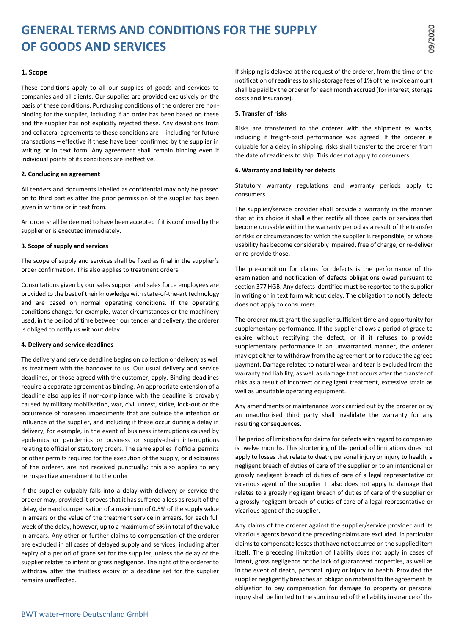# **GENERAL TERMS AND CONDITIONS FOR THE SUPPLY OF GOODS AND SERVICES**

# **1. Scope**

These conditions apply to all our supplies of goods and services to companies and all clients. Our supplies are provided exclusively on the basis of these conditions. Purchasing conditions of the orderer are nonbinding for the supplier, including if an order has been based on these and the supplier has not explicitly rejected these. Any deviations from and collateral agreements to these conditions are – including for future transactions – effective if these have been confirmed by the supplier in writing or in text form. Any agreement shall remain binding even if individual points of its conditions are ineffective.

## **2. Concluding an agreement**

All tenders and documents labelled as confidential may only be passed on to third parties after the prior permission of the supplier has been given in writing or in text from.

An order shall be deemed to have been accepted if it is confirmed by the supplier or is executed immediately.

## **3. Scope of supply and services**

The scope of supply and services shall be fixed as final in the supplier's order confirmation. This also applies to treatment orders.

Consultations given by our sales support and sales force employees are provided to the best of their knowledge with state-of-the-art technology and are based on normal operating conditions. If the operating conditions change, for example, water circumstances or the machinery used, in the period of time between our tender and delivery, the orderer is obliged to notify us without delay.

# **4. Delivery and service deadlines**

The delivery and service deadline begins on collection or delivery as well as treatment with the handover to us. Our usual delivery and service deadlines, or those agreed with the customer, apply. Binding deadlines require a separate agreement as binding. An appropriate extension of a deadline also applies if non-compliance with the deadline is provably caused by military mobilisation, war, civil unrest, strike, lock-out or the occurrence of foreseen impediments that are outside the intention or influence of the supplier, and including if these occur during a delay in delivery, for example, in the event of business interruptions caused by epidemics or pandemics or business or supply-chain interruptions relating to official or statutory orders. The same applies if official permits or other permits required for the execution of the supply, or disclosures of the orderer, are not received punctually; this also applies to any retrospective amendment to the order.

If the supplier culpably falls into a delay with delivery or service the orderer may, provided it proves that it has suffered a loss as result of the delay, demand compensation of a maximum of 0.5% of the supply value in arrears or the value of the treatment service in arrears, for each full week of the delay, however, up to a maximum of 5% in total of the value in arrears. Any other or further claims to compensation of the orderer are excluded in all cases of delayed supply and services, including after expiry of a period of grace set for the supplier, unless the delay of the supplier relates to intent or gross negligence. The right of the orderer to withdraw after the fruitless expiry of a deadline set for the supplier remains unaffected.

If shipping is delayed at the request of the orderer, from the time of the notification of readiness to ship storage fees of 1% of the invoice amount shall be paid by the orderer for each month accrued (for interest, storage costs and insurance).

### **5. Transfer of risks**

Risks are transferred to the orderer with the shipment ex works, including if freight-paid performance was agreed. If the orderer is culpable for a delay in shipping, risks shall transfer to the orderer from the date of readiness to ship. This does not apply to consumers.

### **6. Warranty and liability for defects**

Statutory warranty regulations and warranty periods apply to consumers.

The supplier/service provider shall provide a warranty in the manner that at its choice it shall either rectify all those parts or services that become unusable within the warranty period as a result of the transfer of risks or circumstances for which the supplier is responsible, or whose usability has become considerably impaired, free of charge, or re-deliver or re-provide those.

The pre-condition for claims for defects is the performance of the examination and notification of defects obligations owed pursuant to section 377 HGB. Any defects identified must be reported to the supplier in writing or in text form without delay. The obligation to notify defects does not apply to consumers.

The orderer must grant the supplier sufficient time and opportunity for supplementary performance. If the supplier allows a period of grace to expire without rectifying the defect, or if it refuses to provide supplementary performance in an unwarranted manner, the orderer may opt either to withdraw from the agreement or to reduce the agreed payment. Damage related to natural wear and tear is excluded from the warranty and liability, as well as damage that occurs after the transfer of risks as a result of incorrect or negligent treatment, excessive strain as well as unsuitable operating equipment.

Any amendments or maintenance work carried out by the orderer or by an unauthorised third party shall invalidate the warranty for any resulting consequences.

The period of limitations for claims for defects with regard to companies is twelve months. This shortening of the period of limitations does not apply to losses that relate to death, personal injury or injury to health, a negligent breach of duties of care of the supplier or to an intentional or grossly negligent breach of duties of care of a legal representative or vicarious agent of the supplier. It also does not apply to damage that relates to a grossly negligent breach of duties of care of the supplier or a grossly negligent breach of duties of care of a legal representative or vicarious agent of the supplier.

Any claims of the orderer against the supplier/service provider and its vicarious agents beyond the preceding claims are excluded, in particular claims to compensate losses that have not occurred on the supplied item itself. The preceding limitation of liability does not apply in cases of intent, gross negligence or the lack of guaranteed properties, as well as in the event of death, personal injury or injury to health. Provided the supplier negligently breaches an obligation material to the agreement its obligation to pay compensation for damage to property or personal injury shall be limited to the sum insured of the liability insurance of the